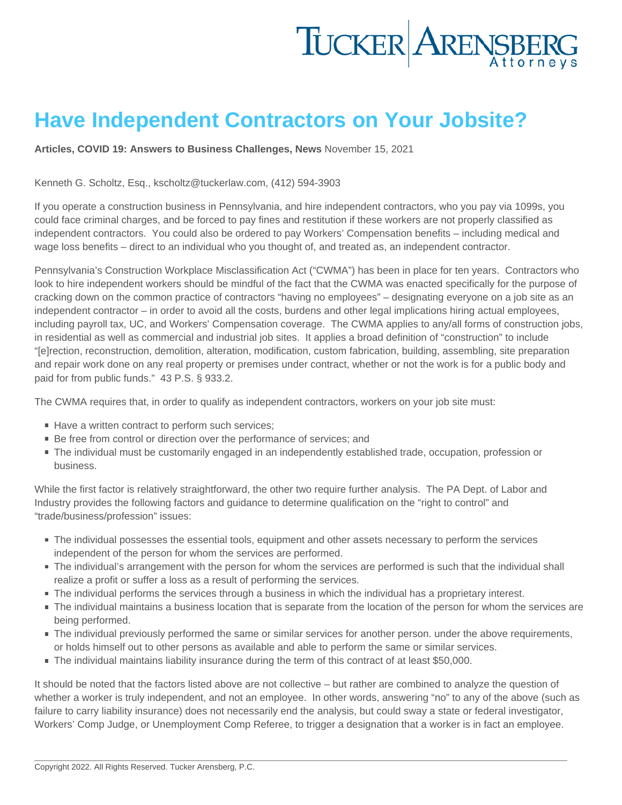## Have Independent Contractors on Your Jobsite?

[Articles](https://www.tuckerlaw.com/category/articles/) , [COVID 19: Answers to Business Challenges](https://www.tuckerlaw.com/category/covid-19-answers-to-business-challenges/) , [News](https://www.tuckerlaw.com/category/news/) November 15, 2021

## Kenneth G. Scholtz, Esq., [kscholtz@tuckerlaw.com](mailto:kscholtz@tuckerlaw.com), (412) 594-3903

If you operate a construction business in Pennsylvania, and hire independent contractors, who you pay via 1099s, you could face criminal charges, and be forced to pay fines and restitution if these workers are not properly classified as independent contractors. You could also be ordered to pay Workers' Compensation benefits – including medical and wage loss benefits – direct to an individual who you thought of, and treated as, an independent contractor.

Pennsylvania's Construction Workplace Misclassification Act ("CWMA") has been in place for ten years. Contractors who look to hire independent workers should be mindful of the fact that the CWMA was enacted specifically for the purpose of cracking down on the common practice of contractors "having no employees" – designating everyone on a job site as an independent contractor – in order to avoid all the costs, burdens and other legal implications hiring actual employees, including payroll tax, UC, and Workers' Compensation coverage. The CWMA applies to any/all forms of construction jobs, in residential as well as commercial and industrial job sites. It applies a broad definition of "construction" to include "[e]rection, reconstruction, demolition, alteration, modification, custom fabrication, building, assembling, site preparation and repair work done on any real property or premises under contract, whether or not the work is for a public body and paid for from public funds." [43 P.S. § 933.2.](https://1.next.westlaw.com/Link/Document/FullText?findType=L&pubNum=1000262&cite=PS43S933.2&originatingDoc=Ib78fe2a0f53911e6b28da5a53aeba485&refType=LQ&originationContext=document&transitionType=DocumentItem&ppcid=b0528a34c6074b06824c4f41388f9efd&contextData=(sc.Search))

The CWMA requires that, in order to qualify as independent contractors, workers on your job site must:

- Have a written contract to perform such services;
- Be free from control or direction over the performance of services; and
- The individual must be customarily engaged in an independently established trade, occupation, profession or business.

While the first factor is relatively straightforward, the other two require further analysis. The PA Dept. of Labor and Industry provides the following factors and guidance to determine qualification on the "right to control" and "trade/business/profession" issues:

- The individual possesses the essential tools, equipment and other assets necessary to perform the services independent of the person for whom the services are performed.
- The individual's arrangement with the person for whom the services are performed is such that the individual shall realize a profit or suffer a loss as a result of performing the services.
- The individual performs the services through a business in which the individual has a proprietary interest.
- The individual maintains a business location that is separate from the location of the person for whom the services are being performed.
- The individual previously performed the same or similar services for another person. under the above requirements, or holds himself out to other persons as available and able to perform the same or similar services.
- The individual maintains liability insurance during the term of this contract of at least \$50,000.

It should be noted that the factors listed above are not collective – but rather are combined to analyze the question of whether a worker is truly independent, and not an employee. In other words, answering "no" to any of the above (such as failure to carry liability insurance) does not necessarily end the analysis, but could sway a state or federal investigator, Workers' Comp Judge, or Unemployment Comp Referee, to trigger a designation that a worker is in fact an employee.